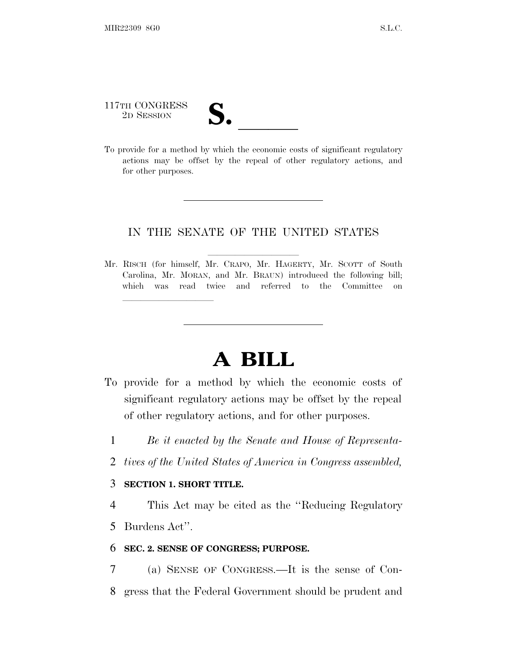# 117TH CONGRESS 117TH CONGRESS<br>
2D SESSION<br>
To provide for a method by which the economic costs of significant regulatory

actions may be offset by the repeal of other regulatory actions, and for other purposes.

# IN THE SENATE OF THE UNITED STATES

Mr. RISCH (for himself, Mr. CRAPO, Mr. HAGERTY, Mr. SCOTT of South Carolina, Mr. MORAN, and Mr. BRAUN) introduced the following bill; which was read twice and referred to the Committee on

# **A BILL**

- To provide for a method by which the economic costs of significant regulatory actions may be offset by the repeal of other regulatory actions, and for other purposes.
	- 1 *Be it enacted by the Senate and House of Representa-*
	- 2 *tives of the United States of America in Congress assembled,*

## 3 **SECTION 1. SHORT TITLE.**

lland and a state of the state of the state of the state of the state of the state of the state of the state o

4 This Act may be cited as the ''Reducing Regulatory 5 Burdens Act''.

#### 6 **SEC. 2. SENSE OF CONGRESS; PURPOSE.**

7 (a) SENSE OF CONGRESS.—It is the sense of Con-8 gress that the Federal Government should be prudent and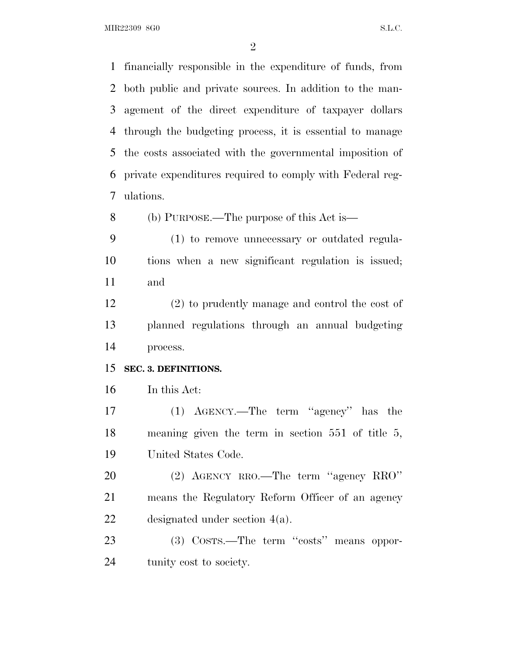MIR22309 8G0 S.L.C.

 financially responsible in the expenditure of funds, from both public and private sources. In addition to the man- agement of the direct expenditure of taxpayer dollars through the budgeting process, it is essential to manage the costs associated with the governmental imposition of private expenditures required to comply with Federal reg-ulations.

(b) PURPOSE.—The purpose of this Act is—

 (1) to remove unnecessary or outdated regula- tions when a new significant regulation is issued; and

 (2) to prudently manage and control the cost of planned regulations through an annual budgeting process.

## **SEC. 3. DEFINITIONS.**

In this Act:

 (1) AGENCY.—The term ''agency'' has the meaning given the term in section 551 of title 5, United States Code.

 (2) AGENCY RRO.—The term ''agency RRO'' means the Regulatory Reform Officer of an agency designated under section 4(a).

23 (3) COSTS.—The term "costs" means oppor-tunity cost to society.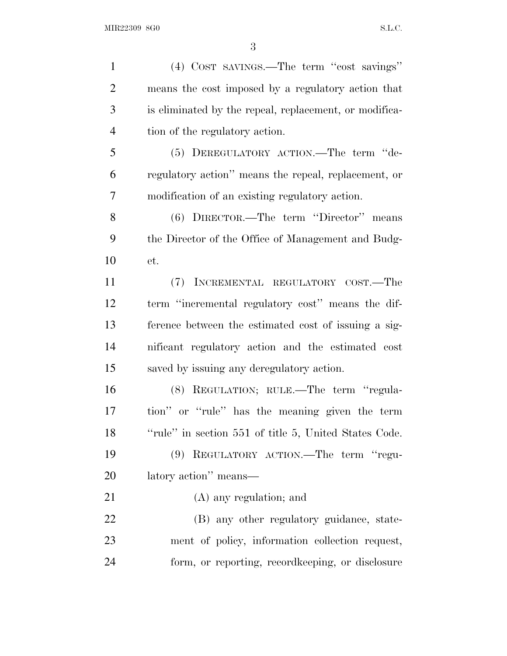(4) COST SAVINGS.—The term ''cost savings'' means the cost imposed by a regulatory action that is eliminated by the repeal, replacement, or modifica- tion of the regulatory action. (5) DEREGULATORY ACTION.—The term ''de- regulatory action'' means the repeal, replacement, or modification of an existing regulatory action. (6) DIRECTOR.—The term ''Director'' means the Director of the Office of Management and Budg- et. (7) INCREMENTAL REGULATORY COST.—The term ''incremental regulatory cost'' means the dif- ference between the estimated cost of issuing a sig- nificant regulatory action and the estimated cost saved by issuing any deregulatory action. (8) REGULATION; RULE.—The term ''regula- tion'' or ''rule'' has the meaning given the term 18 "Tule" in section 551 of title 5, United States Code. (9) REGULATORY ACTION.—The term ''regu- latory action'' means— (A) any regulation; and 22 (B) any other regulatory guidance, state- ment of policy, information collection request, form, or reporting, recordkeeping, or disclosure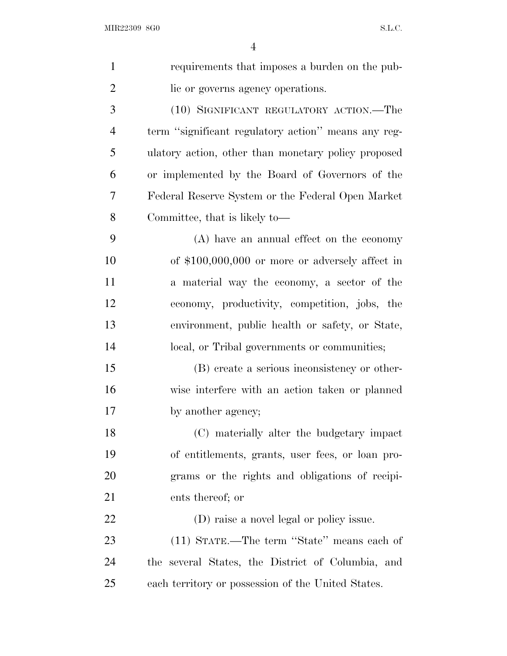| $\mathbf{1}$   | requirements that imposes a burden on the pub-      |
|----------------|-----------------------------------------------------|
| $\overline{2}$ | lic or governs agency operations.                   |
| 3              | (10) SIGNIFICANT REGULATORY ACTION.—The             |
| $\overline{4}$ | term "significant regulatory action" means any reg- |
| 5              | ulatory action, other than monetary policy proposed |
| 6              | or implemented by the Board of Governors of the     |
| 7              | Federal Reserve System or the Federal Open Market   |
| 8              | Committee, that is likely to—                       |
| 9              | (A) have an annual effect on the economy            |
| 10             | of $$100,000,000$ or more or adversely affect in    |
| 11             | a material way the economy, a sector of the         |
| 12             | economy, productivity, competition, jobs, the       |
| 13             | environment, public health or safety, or State,     |
| 14             | local, or Tribal governments or communities;        |
| 15             | (B) create a serious inconsistency or other-        |
| 16             | wise interfere with an action taken or planned      |
| 17             | by another agency;                                  |
| 18             | (C) materially alter the budgetary impact           |
| 19             | of entitlements, grants, user fees, or loan pro-    |
| <b>20</b>      | grams or the rights and obligations of recipi-      |
| 21             | ents thereof; or                                    |
| 22             | (D) raise a novel legal or policy issue.            |
| 23             | (11) STATE.—The term "State" means each of          |
| 24             | the several States, the District of Columbia, and   |
| 25             | each territory or possession of the United States.  |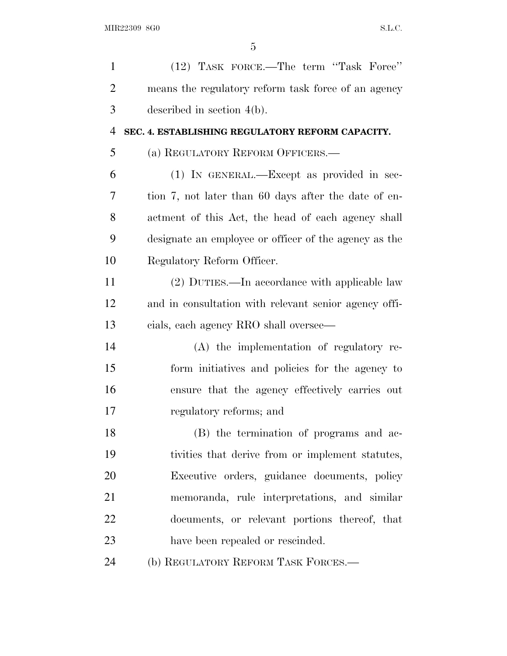| $\mathbf{1}$   | (12) TASK FORCE.—The term "Task Force"                |
|----------------|-------------------------------------------------------|
| $\overline{2}$ | means the regulatory reform task force of an agency   |
| 3              | described in section $4(b)$ .                         |
| $\overline{4}$ | SEC. 4. ESTABLISHING REGULATORY REFORM CAPACITY.      |
| 5              | (a) REGULATORY REFORM OFFICERS.-                      |
| 6              | (1) IN GENERAL.—Except as provided in sec-            |
| 7              | tion 7, not later than 60 days after the date of en-  |
| 8              | actment of this Act, the head of each agency shall    |
| 9              | designate an employee or officer of the agency as the |
| 10             | Regulatory Reform Officer.                            |
| 11             | (2) DUTIES.—In accordance with applicable law         |
| 12             | and in consultation with relevant senior agency offi- |
| 13             | cials, each agency RRO shall oversee—                 |
| 14             | (A) the implementation of regulatory re-              |
| 15             | form initiatives and policies for the agency to       |
| 16             | ensure that the agency effectively carries out        |
| 17             | regulatory reforms; and                               |
| 18             | (B) the termination of programs and ac-               |
| 19             | tivities that derive from or implement statutes,      |
| 20             | Executive orders, guidance documents, policy          |
| 21             | memoranda, rule interpretations, and similar          |
| 22             | documents, or relevant portions thereof, that         |
| 23             | have been repealed or rescinded.                      |
| 24             | (b) REGULATORY REFORM TASK FORCES.—                   |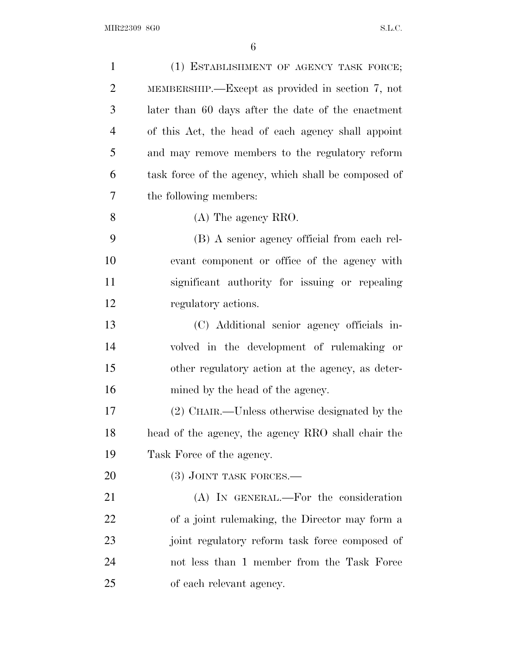| $\mathbf{1}$   | (1) ESTABLISHMENT OF AGENCY TASK FORCE;              |
|----------------|------------------------------------------------------|
| $\overline{2}$ | MEMBERSHIP.—Except as provided in section 7, not     |
| 3              | later than 60 days after the date of the enactment   |
| $\overline{4}$ | of this Act, the head of each agency shall appoint   |
| 5              | and may remove members to the regulatory reform      |
| 6              | task force of the agency, which shall be composed of |
| 7              | the following members:                               |
| 8              | $(A)$ The agency RRO.                                |
| 9              | (B) A senior agency official from each rel-          |
| 10             | evant component or office of the agency with         |
| 11             | significant authority for issuing or repealing       |
| 12             | regulatory actions.                                  |
| 13             | (C) Additional senior agency officials in-           |
| 14             | volved in the development of rulemaking or           |
| 15             | other regulatory action at the agency, as deter-     |
| 16             | mined by the head of the agency.                     |
| 17             | (2) CHAIR.—Unless otherwise designated by the        |
| 18             | head of the agency, the agency RRO shall chair the   |
| 19             | Task Force of the agency.                            |
| 20             | $(3)$ JOINT TASK FORCES.—                            |
| 21             | (A) IN GENERAL.—For the consideration                |
| 22             | of a joint rulemaking, the Director may form a       |
| 23             | joint regulatory reform task force composed of       |
| 24             | not less than 1 member from the Task Force           |
| 25             | of each relevant agency.                             |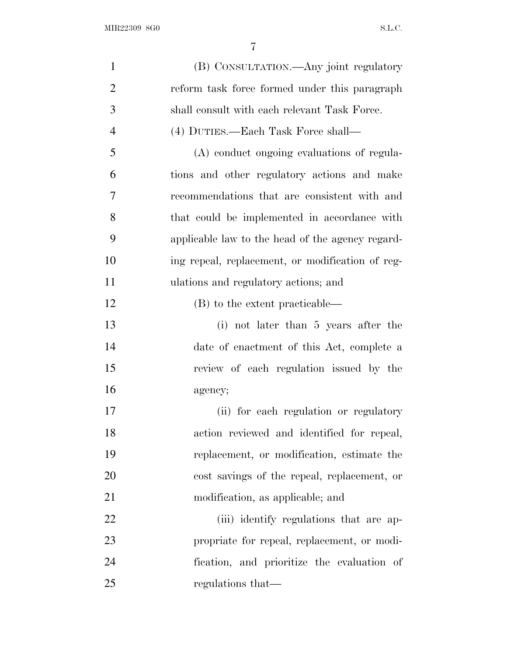| $\mathbf{1}$   | (B) CONSULTATION.—Any joint regulatory           |
|----------------|--------------------------------------------------|
| $\overline{2}$ | reform task force formed under this paragraph    |
| 3              | shall consult with each relevant Task Force.     |
| $\overline{4}$ | (4) DUTIES.—Each Task Force shall—               |
| 5              | (A) conduct ongoing evaluations of regula-       |
| 6              | tions and other regulatory actions and make      |
| 7              | recommendations that are consistent with and     |
| 8              | that could be implemented in accordance with     |
| 9              | applicable law to the head of the agency regard- |
| 10             | ing repeal, replacement, or modification of reg- |
| 11             | ulations and regulatory actions; and             |
| 12             | (B) to the extent practicable—                   |
| 13             | (i) not later than 5 years after the             |
| 14             | date of enactment of this Act, complete a        |
| 15             | review of each regulation issued by the          |
| 16             | agency;                                          |
| 17             | (ii) for each regulation or regulatory           |
| 18             | action reviewed and identified for repeal,       |
| 19             | replacement, or modification, estimate the       |
| 20             | cost savings of the repeal, replacement, or      |
| 21             | modification, as applicable; and                 |
| 22             | (iii) identify regulations that are ap-          |
| 23             | propriate for repeal, replacement, or modi-      |
| 24             | fication, and prioritize the evaluation of       |
| 25             | regulations that—                                |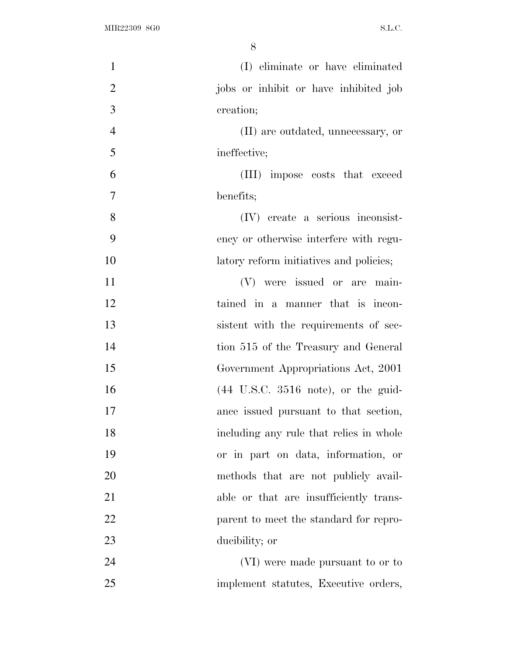| $\mathbf{1}$   | (I) eliminate or have eliminated        |
|----------------|-----------------------------------------|
| $\overline{2}$ | jobs or inhibit or have inhibited job   |
| 3              | creation;                               |
| 4              | (II) are outdated, unnecessary, or      |
| 5              | ineffective;                            |
| 6              | (III) impose costs that exceed          |
| 7              | benefits;                               |
| 8              | (IV) create a serious inconsist-        |
| 9              | ency or otherwise interfere with regu-  |
| 10             | latory reform initiatives and policies; |
| 11             | (V) were issued or are main-            |
| 12             | tained in a manner that is incon-       |
| 13             | sistent with the requirements of sec-   |
| 14             | tion 515 of the Treasury and General    |
| 15             | Government Appropriations Act, 2001     |
| 16             |                                         |
| 17             | ance issued pursuant to that section,   |
| 18             | including any rule that relies in whole |
| 19             | or in part on data, information, or     |
| 20             | methods that are not publicly avail-    |
| 21             | able or that are insufficiently trans-  |
| 22             | parent to meet the standard for repro-  |
| 23             | ducibility; or                          |
| 24             | (VI) were made pursuant to or to        |
| 25             | implement statutes, Executive orders,   |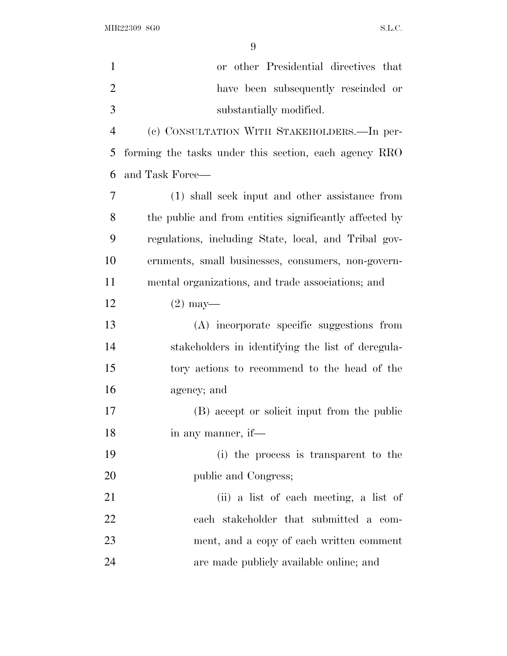| $\mathbf{1}$   | or other Presidential directives that                  |
|----------------|--------------------------------------------------------|
| $\overline{2}$ | have been subsequently rescinded or                    |
| 3              | substantially modified.                                |
| $\overline{4}$ | (c) CONSULTATION WITH STAKEHOLDERS. - In per-          |
| 5              | forming the tasks under this section, each agency RRO  |
| 6              | and Task Force—                                        |
| $\tau$         | (1) shall seek input and other assistance from         |
| 8              | the public and from entities significantly affected by |
| 9              | regulations, including State, local, and Tribal gov-   |
| 10             | ernments, small businesses, consumers, non-govern-     |
| 11             | mental organizations, and trade associations; and      |
| 12             | $(2)$ may—                                             |
| 13             | (A) incorporate specific suggestions from              |
| 14             | stakeholders in identifying the list of deregula-      |
| 15             | tory actions to recommend to the head of the           |
| 16             | agency; and                                            |
| 17             | (B) accept or solicit input from the public            |
| 18             | in any manner, if-                                     |
| 19             | (i) the process is transparent to the                  |
| <b>20</b>      | public and Congress;                                   |
| 21             | (ii) a list of each meeting, a list of                 |
| 22             | each stakeholder that submitted a com-                 |
| 23             | ment, and a copy of each written comment               |
| 24             | are made publicly available online; and                |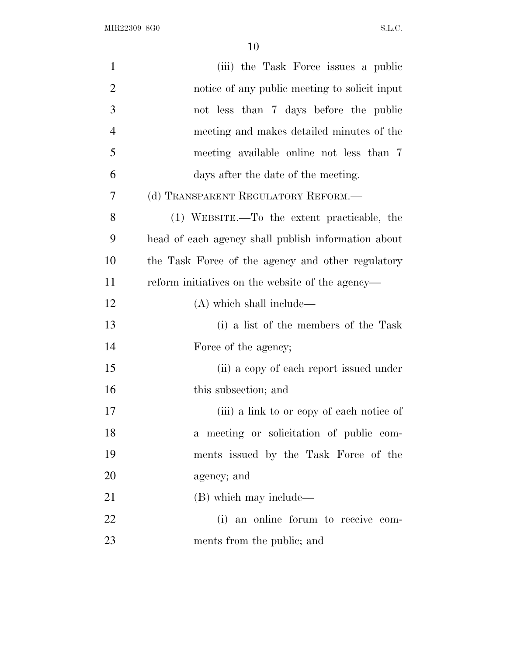| $\mathbf{1}$   | (iii) the Task Force issues a public                |
|----------------|-----------------------------------------------------|
| $\overline{2}$ | notice of any public meeting to solicit input       |
| 3              | not less than 7 days before the public              |
| $\overline{4}$ | meeting and makes detailed minutes of the           |
| 5              | meeting available online not less than 7            |
| 6              | days after the date of the meeting.                 |
| 7              | (d) TRANSPARENT REGULATORY REFORM.—                 |
| 8              | (1) WEBSITE.—To the extent practicable, the         |
| 9              | head of each agency shall publish information about |
| 10             | the Task Force of the agency and other regulatory   |
| 11             | reform initiatives on the website of the agency—    |
| 12             | $(A)$ which shall include—                          |
| 13             | (i) a list of the members of the Task               |
| 14             | Force of the agency;                                |
| 15             | (ii) a copy of each report issued under             |
| 16             | this subsection; and                                |
| 17             | (iii) a link to or copy of each notice of           |
| 18             | a meeting or solicitation of public com-            |
| 19             | ments issued by the Task Force of the               |
| 20             | agency; and                                         |
| 21             | (B) which may include—                              |
| 22             | (i) an online forum to receive com-                 |
| 23             | ments from the public; and                          |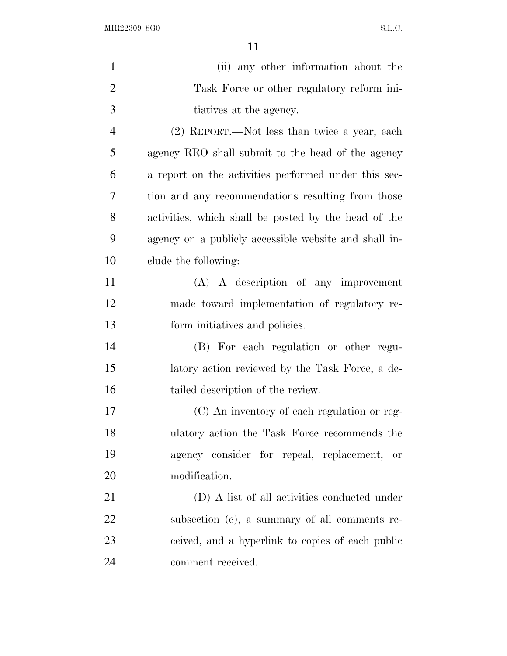MIR22309 8G0 S.L.C.

| $\mathbf{1}$   | (ii) any other information about the                  |
|----------------|-------------------------------------------------------|
| $\overline{2}$ | Task Force or other regulatory reform ini-            |
| 3              | tiatives at the agency.                               |
| $\overline{4}$ | (2) REPORT.—Not less than twice a year, each          |
| 5              | agency RRO shall submit to the head of the agency     |
| 6              | a report on the activities performed under this sec-  |
| 7              | tion and any recommendations resulting from those     |
| 8              | activities, which shall be posted by the head of the  |
| 9              | agency on a publicly accessible website and shall in- |
| 10             | clude the following:                                  |
| 11             | $(A)$ A description of any improvement                |
| 12             | made toward implementation of regulatory re-          |
| 13             | form initiatives and policies.                        |
| 14             | (B) For each regulation or other regu-                |
| 15             | latory action reviewed by the Task Force, a de-       |
| 16             | tailed description of the review.                     |
| 17             | (C) An inventory of each regulation or reg-           |
| 18             | ulatory action the Task Force recommends the          |
| 19             | agency consider for repeal, replacement, or           |
| 20             | modification.                                         |
| 21             | (D) A list of all activities conducted under          |
| 22             | subsection (c), a summary of all comments re-         |
| 23             | ceived, and a hyperlink to copies of each public      |
| 24             | comment received.                                     |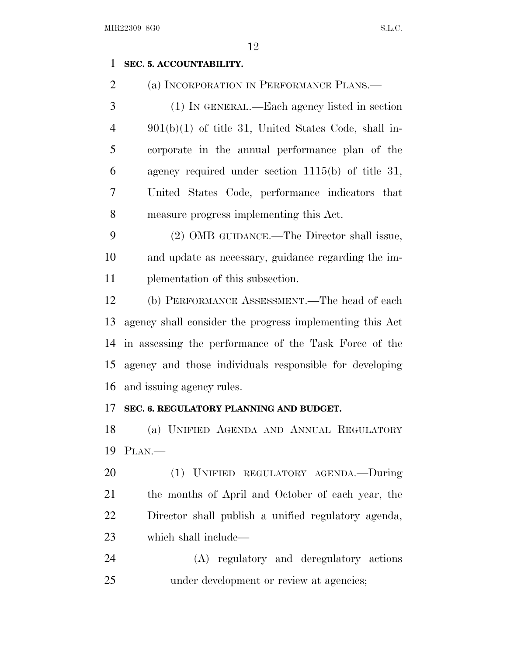# **SEC. 5. ACCOUNTABILITY.**

(a) INCORPORATION IN PERFORMANCE PLANS.—

 (1) IN GENERAL.—Each agency listed in section 901(b)(1) of title 31, United States Code, shall in- corporate in the annual performance plan of the agency required under section 1115(b) of title 31, United States Code, performance indicators that measure progress implementing this Act.

 (2) OMB GUIDANCE.—The Director shall issue, and update as necessary, guidance regarding the im-plementation of this subsection.

 (b) PERFORMANCE ASSESSMENT.—The head of each agency shall consider the progress implementing this Act in assessing the performance of the Task Force of the agency and those individuals responsible for developing and issuing agency rules.

#### **SEC. 6. REGULATORY PLANNING AND BUDGET.**

 (a) UNIFIED AGENDA AND ANNUAL REGULATORY PLAN.—

 (1) UNIFIED REGULATORY AGENDA.—During the months of April and October of each year, the Director shall publish a unified regulatory agenda, which shall include—

 (A) regulatory and deregulatory actions 25 under development or review at agencies;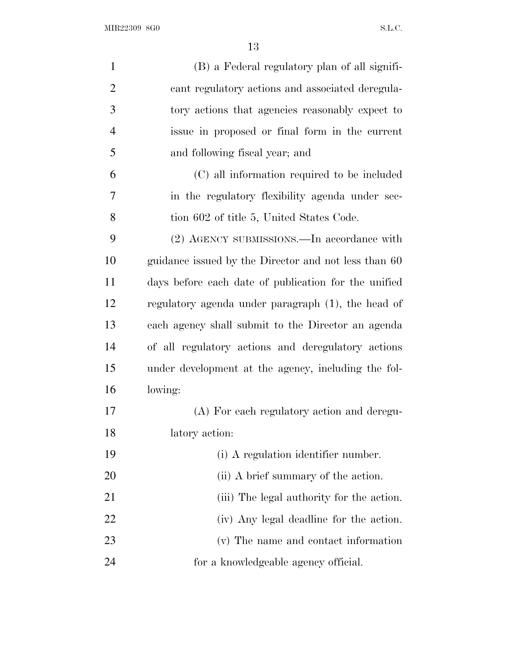| $\mathbf{1}$   | (B) a Federal regulatory plan of all signifi-        |
|----------------|------------------------------------------------------|
| $\overline{2}$ | cant regulatory actions and associated deregula-     |
| 3              | tory actions that agencies reasonably expect to      |
| $\overline{4}$ | issue in proposed or final form in the current       |
| 5              | and following fiscal year; and                       |
| 6              | (C) all information required to be included          |
| 7              | in the regulatory flexibility agenda under sec-      |
| 8              | tion 602 of title 5, United States Code.             |
| 9              | (2) AGENCY SUBMISSIONS.—In accordance with           |
| 10             | guidance issued by the Director and not less than 60 |
| 11             | days before each date of publication for the unified |
| 12             | regulatory agenda under paragraph (1), the head of   |
| 13             | each agency shall submit to the Director an agenda   |
| 14             | of all regulatory actions and deregulatory actions   |
| 15             | under development at the agency, including the fol-  |
| 16             | lowing:                                              |
| 17             | (A) For each regulatory action and deregu-           |
| 18             | latory action:                                       |
| 19             | (i) A regulation identifier number.                  |
| 20             | (ii) A brief summary of the action.                  |
| 21             | (iii) The legal authority for the action.            |
| 22             | (iv) Any legal deadline for the action.              |
| 23             | (v) The name and contact information                 |
| 24             | for a knowledgeable agency official.                 |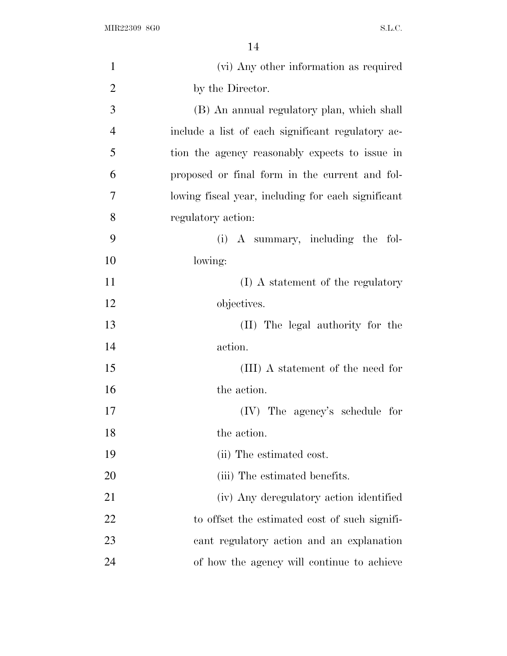| $\mathbf{1}$   | (vi) Any other information as required             |
|----------------|----------------------------------------------------|
| $\overline{2}$ | by the Director.                                   |
| 3              | (B) An annual regulatory plan, which shall         |
| $\overline{4}$ | include a list of each significant regulatory ac-  |
| 5              | tion the agency reasonably expects to issue in     |
| 6              | proposed or final form in the current and fol-     |
| 7              | lowing fiscal year, including for each significant |
| 8              | regulatory action:                                 |
| 9              | (i) A summary, including the fol-                  |
| 10             | lowing:                                            |
| 11             | (I) A statement of the regulatory                  |
| 12             | objectives.                                        |
| 13             | (II) The legal authority for the                   |
| 14             | action.                                            |
| 15             | (III) A statement of the need for                  |
| 16             | the action.                                        |
| 17             | (IV) The agency's schedule for                     |
| 18             | the action.                                        |
| 19             | (ii) The estimated cost.                           |
| 20             | (iii) The estimated benefits.                      |
| 21             | (iv) Any deregulatory action identified            |
| 22             | to offset the estimated cost of such signifi-      |
| 23             | cant regulatory action and an explanation          |
| 24             | of how the agency will continue to achieve         |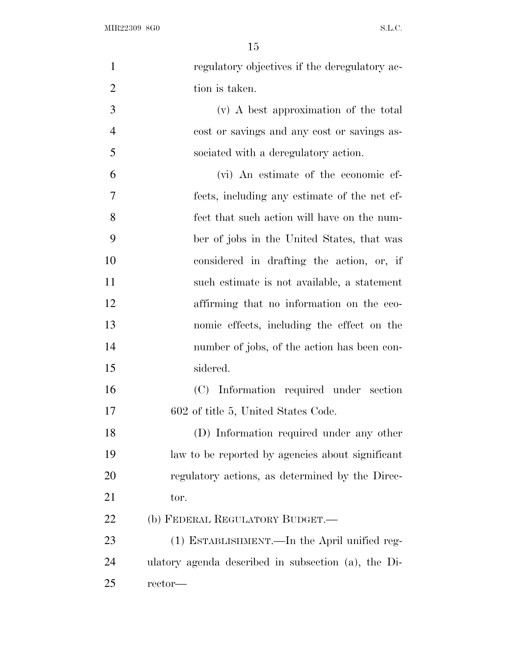| $\mathbf{1}$   | regulatory objectives if the deregulatory ac-       |
|----------------|-----------------------------------------------------|
| $\overline{2}$ | tion is taken.                                      |
| 3              | (v) A best approximation of the total               |
| $\overline{4}$ | cost or savings and any cost or savings as-         |
| 5              | sociated with a deregulatory action.                |
| 6              | (vi) An estimate of the economic ef-                |
| 7              | fects, including any estimate of the net ef-        |
| 8              | fect that such action will have on the num-         |
| 9              | ber of jobs in the United States, that was          |
| 10             | considered in drafting the action, or, if           |
| 11             | such estimate is not available, a statement         |
| 12             | affirming that no information on the eco-           |
| 13             | nomic effects, including the effect on the          |
| 14             | number of jobs, of the action has been con-         |
| 15             | sidered.                                            |
| 16             | (C) Information required under section              |
| 17             | 602 of title 5, United States Code.                 |
| 18             | (D) Information required under any other            |
| 19             | law to be reported by agencies about significant    |
| 20             | regulatory actions, as determined by the Direc-     |
| 21             | tor.                                                |
| 22             | (b) FEDERAL REGULATORY BUDGET.—                     |
| 23             | (1) ESTABLISHMENT.—In the April unified reg-        |
| 24             | ulatory agenda described in subsection (a), the Di- |
| 25             | rector-                                             |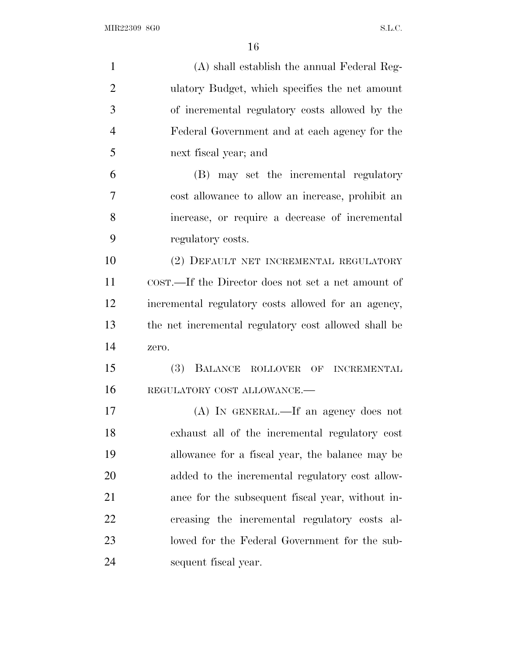| $\mathbf{1}$   | (A) shall establish the annual Federal Reg-          |
|----------------|------------------------------------------------------|
| $\overline{2}$ | ulatory Budget, which specifies the net amount       |
| 3              | of incremental regulatory costs allowed by the       |
| $\overline{4}$ | Federal Government and at each agency for the        |
| 5              | next fiscal year; and                                |
| 6              | (B) may set the incremental regulatory               |
| 7              | cost allowance to allow an increase, prohibit an     |
| 8              | increase, or require a decrease of incremental       |
| 9              | regulatory costs.                                    |
| 10             | (2) DEFAULT NET INCREMENTAL REGULATORY               |
| 11             | COST.—If the Director does not set a net amount of   |
| 12             | incremental regulatory costs allowed for an agency,  |
| 13             | the net incremental regulatory cost allowed shall be |
| 14             | zero.                                                |
| 15             | (3)<br>BALANCE ROLLOVER OF INCREMENTAL               |
| 16             | REGULATORY COST ALLOWANCE.-                          |
| 17             | (A) IN GENERAL.—If an agency does not                |
| 18             | exhaust all of the incremental regulatory cost       |
| 19             | allowance for a fiscal year, the balance may be      |
| 20             | added to the incremental regulatory cost allow-      |
| 21             | ance for the subsequent fiscal year, without in-     |
| 22             | creasing the incremental regulatory costs al-        |
| 23             | lowed for the Federal Government for the sub-        |
| 24             | sequent fiscal year.                                 |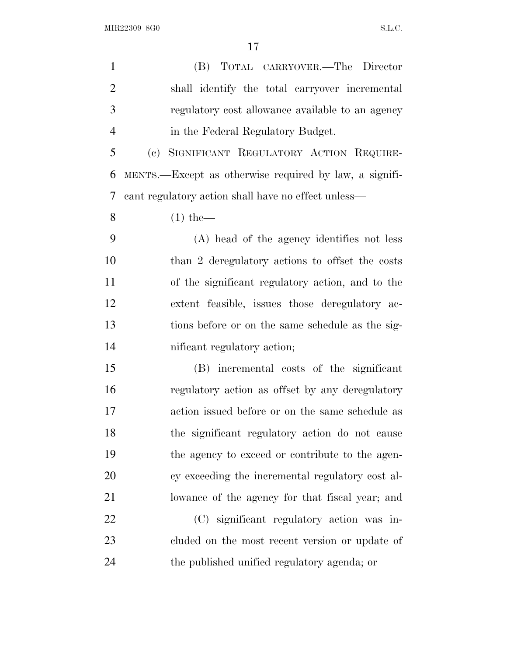MIR22309 8G0 S.L.C.

 (B) TOTAL CARRYOVER.—The Director shall identify the total carryover incremental regulatory cost allowance available to an agency in the Federal Regulatory Budget. (c) SIGNIFICANT REGULATORY ACTION REQUIRE- MENTS.—Except as otherwise required by law, a signifi- cant regulatory action shall have no effect unless— (1) the— (A) head of the agency identifies not less than 2 deregulatory actions to offset the costs of the significant regulatory action, and to the extent feasible, issues those deregulatory ac- tions before or on the same schedule as the sig- nificant regulatory action; (B) incremental costs of the significant regulatory action as offset by any deregulatory action issued before or on the same schedule as the significant regulatory action do not cause the agency to exceed or contribute to the agen- cy exceeding the incremental regulatory cost al- lowance of the agency for that fiscal year; and (C) significant regulatory action was in- cluded on the most recent version or update of the published unified regulatory agenda; or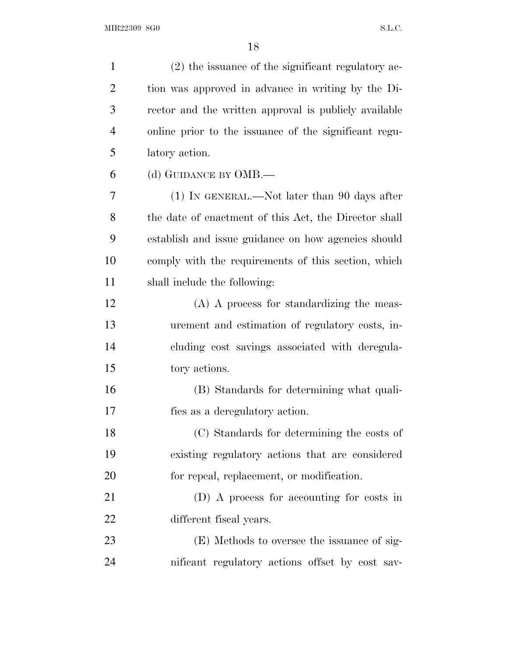| $\mathbf{1}$   | (2) the issuance of the significant regulatory ac-    |
|----------------|-------------------------------------------------------|
| $\overline{2}$ | tion was approved in advance in writing by the Di-    |
| 3              | rector and the written approval is publicly available |
| $\overline{4}$ | online prior to the issuance of the significant regu- |
| 5              | latory action.                                        |
| 6              | (d) GUIDANCE BY OMB.—                                 |
| 7              | $(1)$ In GENERAL.—Not later than 90 days after        |
| 8              | the date of enactment of this Act, the Director shall |
| 9              | establish and issue guidance on how agencies should   |
| 10             | comply with the requirements of this section, which   |
| 11             | shall include the following:                          |
| 12             | (A) A process for standardizing the meas-             |
| 13             | urement and estimation of regulatory costs, in-       |
| 14             | cluding cost savings associated with deregula-        |
| 15             | tory actions.                                         |
| 16             | (B) Standards for determining what quali-             |
| 17             | fies as a deregulatory action.                        |
| 18             | (C) Standards for determining the costs of            |
| 19             | existing regulatory actions that are considered       |
| 20             | for repeal, replacement, or modification.             |
| 21             | (D) A process for accounting for costs in             |
| 22             | different fiscal years.                               |
| 23             | (E) Methods to oversee the issuance of sig-           |
| 24             | nificant regulatory actions offset by cost sav-       |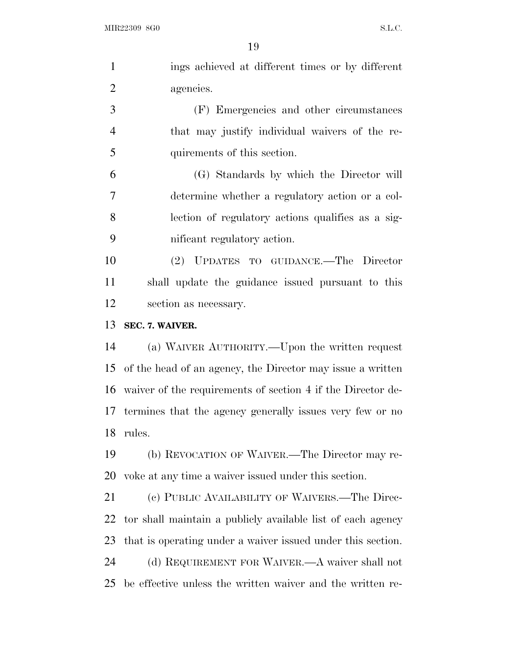| $\mathbf{1}$   | ings achieved at different times or by different               |
|----------------|----------------------------------------------------------------|
| $\overline{2}$ | agencies.                                                      |
| 3              | (F) Emergencies and other circumstances                        |
| $\overline{4}$ | that may justify individual waivers of the re-                 |
| 5              | quirements of this section.                                    |
| 6              | (G) Standards by which the Director will                       |
| 7              | determine whether a regulatory action or a col-                |
| 8              | lection of regulatory actions qualifies as a sig-              |
| 9              | nificant regulatory action.                                    |
| 10             | (2) UPDATES TO GUIDANCE.—The Director                          |
| 11             | shall update the guidance issued pursuant to this              |
| 12             | section as necessary.                                          |
| 13             | SEC. 7. WAIVER.                                                |
| 14             | (a) WAIVER AUTHORITY.—Upon the written request                 |
| 15             | of the head of an agency, the Director may issue a written     |
|                | 16 waiver of the requirements of section 4 if the Director de- |
|                | 17 termines that the agency generally issues very few or no    |
| 18             | rules.                                                         |
| 19             | (b) REVOCATION OF WAIVER.—The Director may re-                 |
| 20             | voke at any time a waiver issued under this section.           |
| 21             | (c) PUBLIC AVAILABILITY OF WAIVERS.—The Direc-                 |
| 22             | tor shall maintain a publicly available list of each agency    |
| 23             | that is operating under a waiver issued under this section.    |
| 24             | (d) REQUIREMENT FOR WAIVER.—A waiver shall not                 |
| 25             | be effective unless the written waiver and the written re-     |